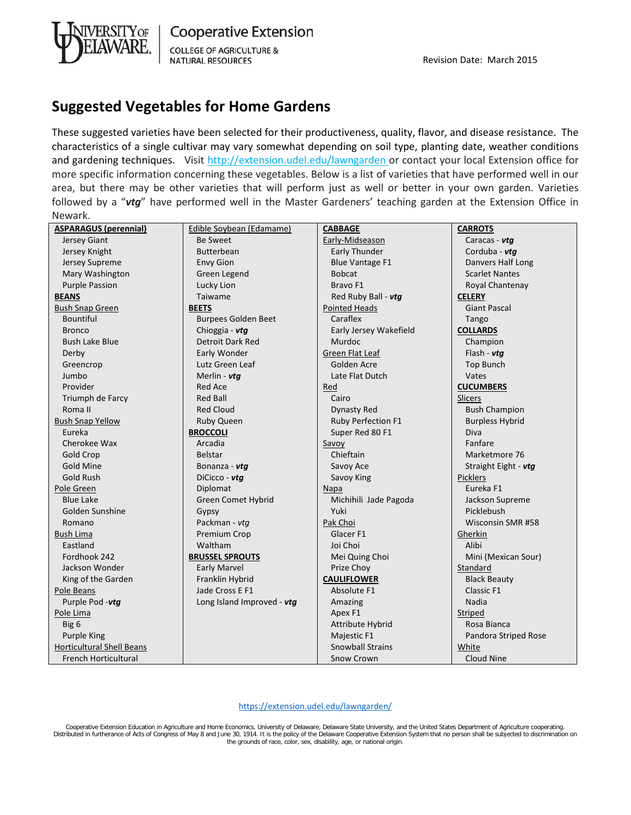

## **Suggested Vegetables for Home Gardens**

These suggested varieties have been selected for their productiveness, quality, flavor, and disease resistance. The characteristics of a single cultivar may vary somewhat depending on soil type, planting date, weather conditions and gardening techniques. Visit http://extension.udel.edu/lawngarden or contact your local Extension office for more specific information concerning these vegetables. Below is a list of varieties that have performed well in our area, but there may be other varieties that will perform just as well or better in your own garden. Varieties followed by a "*vtg*" have performed well in the Master Gardeners' teaching garden at the Extension Office in Newark.

| <b>ASPARAGUS (perennial)</b>     | Edible Soybean (Edamame)   | <b>CABBAGE</b>          | <b>CARROTS</b>         |
|----------------------------------|----------------------------|-------------------------|------------------------|
| Jersey Giant                     | <b>Be Sweet</b>            | Early-Midseason         | Caracas - vtg          |
| Jersey Knight                    | <b>Butterbean</b>          | Early Thunder           | Corduba - vtg          |
| Jersey Supreme                   | <b>Envy Gion</b>           | <b>Blue Vantage F1</b>  | Danvers Half Long      |
| Mary Washington                  | Green Legend               | <b>Bobcat</b>           | <b>Scarlet Nantes</b>  |
| <b>Purple Passion</b>            | Lucky Lion                 | Bravo F1                | Royal Chantenay        |
| <b>BEANS</b>                     | Taiwame                    | Red Ruby Ball - vtg     | <b>CELERY</b>          |
| <b>Bush Snap Green</b>           | <b>BEETS</b>               | <b>Pointed Heads</b>    | <b>Giant Pascal</b>    |
| <b>Bountiful</b>                 | <b>Burpees Golden Beet</b> | Caraflex                | Tango                  |
| <b>Bronco</b>                    | Chioggia - vtg             | Early Jersey Wakefield  | <b>COLLARDS</b>        |
| <b>Bush Lake Blue</b>            | Detroit Dark Red           | Murdoc                  | Champion               |
| Derby                            | Early Wonder               | Green Flat Leaf         | Flash - $vta$          |
| Greencrop                        | Lutz Green Leaf            | Golden Acre             | <b>Top Bunch</b>       |
| Jumbo                            | Merlin - vtg               | Late Flat Dutch         | Vates                  |
| Provider                         | Red Ace                    | <b>Red</b>              | <b>CUCUMBERS</b>       |
| Triumph de Farcy                 | <b>Red Ball</b>            | Cairo                   | <b>Slicers</b>         |
| Roma II                          | <b>Red Cloud</b>           | <b>Dynasty Red</b>      | <b>Bush Champion</b>   |
| <b>Bush Snap Yellow</b>          | <b>Ruby Queen</b>          | Ruby Perfection F1      | <b>Burpless Hybrid</b> |
| Eureka                           | <b>BROCCOLI</b>            | Super Red 80 F1         | Diva                   |
| Cherokee Wax                     | Arcadia                    | Savoy                   | Fanfare                |
| Gold Crop                        | <b>Belstar</b>             | Chieftain               | Marketmore 76          |
| <b>Gold Mine</b>                 | Bonanza - vtg              | Savoy Ace               | Straight Eight - vtg   |
| Gold Rush                        | DiCicco - vtg              | Savoy King              | <b>Picklers</b>        |
| Pole Green                       | Diplomat                   | Napa                    | Eureka F1              |
| <b>Blue Lake</b>                 | Green Comet Hybrid         | Michihili Jade Pagoda   | Jackson Supreme        |
| Golden Sunshine                  | Gypsy                      | Yuki                    | Picklebush             |
| Romano                           | Packman - vtg              | Pak Choi                | Wisconsin SMR #58      |
| <b>Bush Lima</b>                 | Premium Crop               | Glacer <sub>F1</sub>    | Gherkin                |
| Eastland                         | Waltham                    | Joi Choi                | Alibi                  |
| Fordhook 242                     | <b>BRUSSEL SPROUTS</b>     | Mei Quing Choi          | Mini (Mexican Sour)    |
| Jackson Wonder                   | <b>Early Marvel</b>        | Prize Choy              | Standard               |
| King of the Garden               | Franklin Hybrid            | <b>CAULIFLOWER</b>      | <b>Black Beauty</b>    |
| Pole Beans                       | Jade Cross E F1            | Absolute F1             | Classic F1             |
| Purple Pod -vtg                  | Long Island Improved - vtg | Amazing                 | <b>Nadia</b>           |
| Pole Lima                        |                            | Apex F1                 | Striped                |
| Big 6                            |                            | Attribute Hybrid        | Rosa Bianca            |
| <b>Purple King</b>               |                            | Majestic F1             | Pandora Striped Rose   |
| <b>Horticultural Shell Beans</b> |                            | <b>Snowball Strains</b> | White                  |
| <b>French Horticultural</b>      |                            | Snow Crown              | Cloud Nine             |

<https://extension.udel.edu/lawngarden/>

Cooperative Extension Education in Agriculture and Home Economics, University of Delaware, Delaware State University, and the United States Department of Agriculture cooperating. Distributed in furtherance of Acts of Congress of May 8 and June 30, 1914. It is the policy of the Delaware Cooperative Extension System that no person shall be subjected to discrimination on<br>the grounds of race, color, se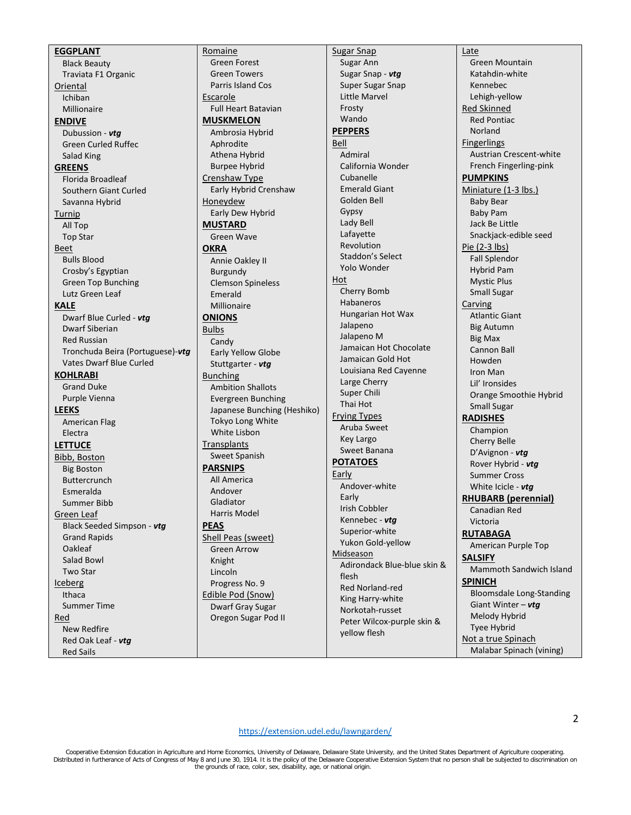**EGGPLANT** Black Beauty Traviata F1 Organic **Oriental** Ichiban Millionaire **ENDIVE** Dubussion - *vtg* Green Curled Ruffec Salad King **GREENS** Florida Broadleaf Southern Giant Curled Savanna Hybrid Turnip All Top Top Star Beet Bulls Blood Crosby's Egyptian Green Top Bunching Lutz Green Leaf **KALE** Dwarf Blue Curled - *vtg* Dwarf Siberian Red Russian Tronchuda Beira (Portuguese)-*vtg* Vates Dwarf Blue Curled **KOHLRABI** Grand Duke Purple Vienna **LEEKS** American Flag Electra **LETTUCE** Bibb, Boston Big Boston Buttercrunch Esmeralda Summer Bibb Green Leaf Black Seeded Simpson - *vtg* Grand Rapids Oakleaf Salad Bowl Two Star Iceberg Ithaca Summer Time Red New Redfire Red Oak Leaf - *vtg* Red Sails

Romaine Green Forest Green Towers Parris Island Cos Escarole Full Heart Batavian **MUSKMELON** Ambrosia Hybrid Aphrodite Athena Hybrid Burpee Hybrid Crenshaw Type Early Hybrid Crenshaw Honeydew Early Dew Hybrid **MUSTARD** Green Wave **OKRA** Annie Oakley II Burgundy Clemson Spineless Emerald Millionaire **ONIONS** Bulbs Candy Early Yellow Globe Stuttgarter - *vtg* Bunching Ambition Shallots Evergreen Bunching Japanese Bunching (Heshiko) Tokyo Long White White Lisbon **Transplants** Sweet Spanish **PARSNIPS** All America Andover Gladiator Harris Model **PEAS** Shell Peas (sweet) Green Arrow Knight Lincoln Progress No. 9 Edible Pod (Snow) Dwarf Gray Sugar Oregon Sugar Pod II

Sugar Snap Sugar Ann Sugar Snap - *vtg* Super Sugar Snap Little Marvel Frosty Wando **PEPPERS** Bell Admiral California Wonder Cubanelle Emerald Giant Golden Bell Gypsy Lady Bell Lafayette Revolution Staddon's Select Yolo Wonder Hot Cherry Bomb Habaneros Hungarian Hot Wax Jalapeno Jalapeno M Jamaican Hot Chocolate Jamaican Gold Hot Louisiana Red Cayenne Large Cherry Super Chili Thai Hot Frying Types Aruba Sweet Key Largo Sweet Banana **POTATOES** Early Andover-white Early Irish Cobbler Kennebec - *vtg* Superior-white Yukon Gold-yellow Midseason Adirondack Blue-blue skin & flesh Red Norland-red King Harry-white Norkotah-russet Peter Wilcox-purple skin & yellow flesh

Late Green Mountain Katahdin-white Kennebec Lehigh-yellow Red Skinned Red Pontiac Norland Fingerlings Austrian Crescent-white French Fingerling-pink **PUMPKINS** Miniature (1-3 lbs.) Baby Bear Baby Pam Jack Be Little Snackjack-edible seed Pie (2-3 lbs) Fall Splendor Hybrid Pam Mystic Plus Small Sugar Carving Atlantic Giant Big Autumn Big Max Cannon Ball Howden Iron Man Lil' Ironsides Orange Smoothie Hybrid Small Sugar **RADISHES** Champion Cherry Belle D'Avignon - *vtg* Rover Hybrid - *vtg* Summer Cross White Icicle - *vtg* **RHUBARB (perennial)** Canadian Red Victoria **RUTABAGA** American Purple Top **SALSIFY** Mammoth Sandwich Island **SPINICH** Bloomsdale Long-Standing Giant Winter – *vtg* Melody Hybrid Tyee Hybrid Not a true Spinach Malabar Spinach (vining)

<https://extension.udel.edu/lawngarden/>

Cooperative Extension Education in Agriculture and Home Economics, University of Delaware, Delaware State University, and the United States Department of Agriculture cooperating. Distributed in furtherance of Acts of Congress of May 8 and June 30, 1914. It is the policy of the Delaware Cooperative Extension System that no person shall be subjected to discrimination on<br>the grounds of race, color, se